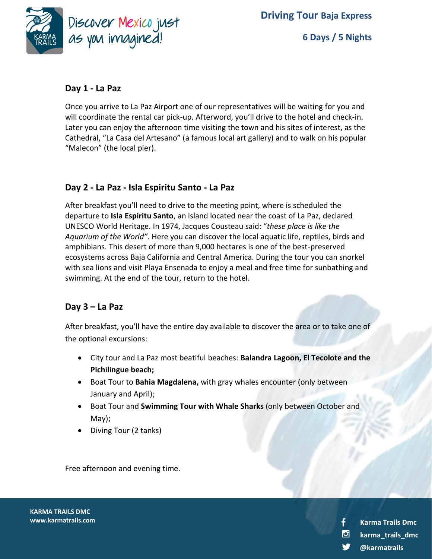

# **Day 1 - La Paz**

Once you arrive to La Paz Airport one of our representatives will be waiting for you and will coordinate the rental car pick-up. Afterword, you'll drive to the hotel and check-in. Later you can enjoy the afternoon time visiting the town and his sites of interest, as the Cathedral, "La Casa del Artesano" (a famous local art gallery) and to walk on his popular "Malecon" (the local pier).

# **Day 2 - La Paz - Isla Espiritu Santo - La Paz**

After breakfast you'll need to drive to the meeting point, where is scheduled the departure to **Isla Espiritu Santo**, an island located near the coast of La Paz, declared UNESCO World Heritage. In 1974, Jacques Cousteau said: "*these place is like the Aquarium of the World"*. Here you can discover the local aquatic life, reptiles, birds and amphibians. This desert of more than 9,000 hectares is one of the best-preserved ecosystems across Baja California and Central America. During the tour you can snorkel with sea lions and visit Playa Ensenada to enjoy a meal and free time for sunbathing and swimming. At the end of the tour, return to the hotel.

# **Day 3 – La Paz**

After breakfast, you'll have the entire day available to discover the area or to take one of the optional excursions:

- City tour and La Paz most beatiful beaches: **Balandra Lagoon, El Tecolote and the Pichilingue beach;**
- Boat Tour to **Bahia Magdalena,** with gray whales encounter (only between January and April);

**K**

- Boat Tour and **Swimming Tour with Whale Sharks** (only between October and May);
- Diving Tour (2 tanks)

Free afternoon and evening time.

**KARMA TRAILS DMC www.karmatrails.com**

**@karmatrails karma\_trails\_dmc Karma Trails Dmc**

−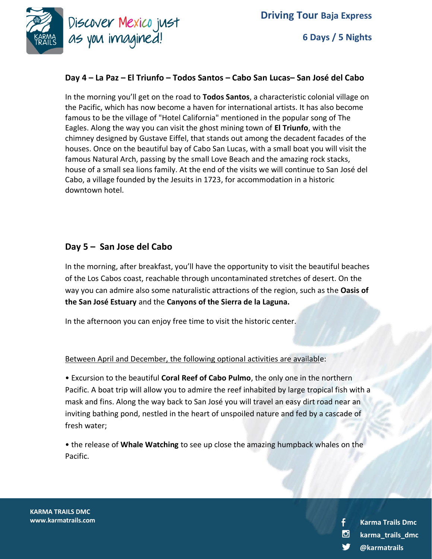

**6 Days / 5 Nights**

### **Day 4 – La Paz – El Triunfo – Todos Santos – Cabo San Lucas– San José del Cabo**

In the morning you'll get on the road to **Todos Santos**, a characteristic colonial village on the Pacific, which has now become a haven for international artists. It has also become famous to be the village of "Hotel California" mentioned in the popular song of The Eagles. Along the way you can visit the ghost mining town of **El Triunfo**, with the chimney designed by Gustave Eiffel, that stands out among the decadent facades of the houses. Once on the beautiful bay of Cabo San Lucas, with a small boat you will visit the famous Natural Arch, passing by the small Love Beach and the amazing rock stacks, house of a small sea lions family. At the end of the visits we will continue to San José del Cabo, a village founded by the Jesuits in 1723, for accommodation in a historic downtown hotel.

## **Day 5 – San Jose del Cabo**

In the morning, after breakfast, you'll have the opportunity to visit the beautiful beaches of the Los Cabos coast, reachable through uncontaminated stretches of desert. On the way you can admire also some naturalistic attractions of the region, such as the **Oasis of the San José Estuary** and the **Canyons of the Sierra de la Laguna.**

In the afternoon you can enjoy free time to visit the historic center.

#### Between April and December, the following optional activities are available:

**K**

• Excursion to the beautiful **Coral Reef of Cabo Pulmo**, the only one in the northern Pacific. A boat trip will allow you to admire the reef inhabited by large tropical fish with a mask and fins. Along the way back to San José you will travel an easy dirt road near an inviting bathing pond, nestled in the heart of unspoiled nature and fed by a cascade of fresh water;

• the release of **Whale Watching** to see up close the amazing humpback whales on the Pacific.

**KARMA TRAILS DMC www.karmatrails.com**

**@karmatrails karma\_trails\_dmc Karma Trails Dmc**